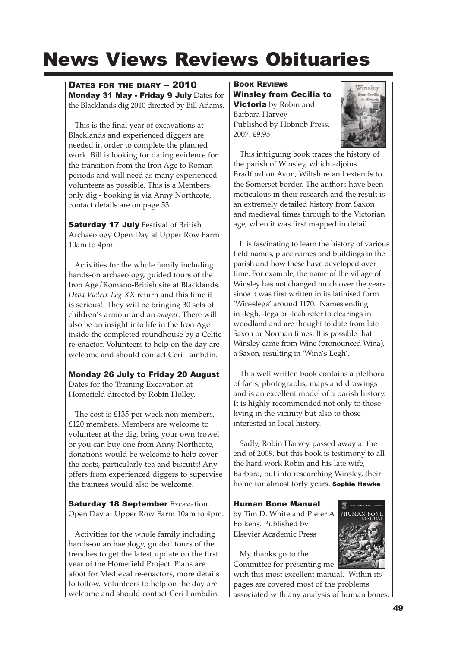# News Views Reviews Obituaries

## DATES FOR THE DIARY – 2010

Monday 31 May - Friday 9 July Dates for the Blacklands dig 2010 directed by Bill Adams.

This is the final year of excavations at Blacklands and experienced diggers are needed in order to complete the planned work. Bill is looking for dating evidence for the transition from the Iron Age to Roman periods and will need as many experienced volunteers as possible. This is a Members only dig - booking is via Anny Northcote, contact details are on page 53.

**Saturday 17 July Festival of British** Archaeology Open Day at Upper Row Farm 10am to 4pm.

Activities for the whole family including hands-on archaeology, guided tours of the Iron Age/Romano-British site at Blacklands. *Deva Victrix Leg XX* return and this time it is serious! They will be bringing 30 sets of children's armour and an *onager*. There will also be an insight into life in the Iron Age inside the completed roundhouse by a Celtic re-enactor. Volunteers to help on the day are welcome and should contact Ceri Lambdin.

#### Monday 26 July to Friday 20 August

Dates for the Training Excavation at Homefield directed by Robin Holley.

The cost is £135 per week non-members, £120 members. Members are welcome to volunteer at the dig, bring your own trowel or you can buy one from Anny Northcote, donations would be welcome to help cover the costs, particularly tea and biscuits! Any offers from experienced diggers to supervise the trainees would also be welcome.

**Saturday 18 September Excavation** Open Day at Upper Row Farm 10am to 4pm.

Activities for the whole family including hands-on archaeology, guided tours of the trenches to get the latest update on the first year of the Homefield Project. Plans are afoot for Medieval re-enactors, more details to follow. Volunteers to help on the day are welcome and should contact Ceri Lambdin.

BOOK REVIEWS Winsley from Cecilia to **Victoria** by Robin and Barbara Harvey Published by Hobnob Press, 2007. £9.95



This intriguing book traces the history of the parish of Winsley, which adjoins Bradford on Avon, Wiltshire and extends to the Somerset border. The authors have been meticulous in their research and the result is an extremely detailed history from Saxon and medieval times through to the Victorian age, when it was first mapped in detail.

It is fascinating to learn the history of various field names, place names and buildings in the parish and how these have developed over time. For example, the name of the village of Winsley has not changed much over the years since it was first written in its latinised form 'Wineslega' around 1170. Names ending in -legh, -lega or -leah refer to clearings in woodland and are thought to date from late Saxon or Norman times. It is possible that Winsley came from Wine (pronounced Wina), a Saxon, resulting in 'Wina's Legh'.

This well written book contains a plethora of facts, photographs, maps and drawings and is an excellent model of a parish history. It is highly recommended not only to those living in the vicinity but also to those interested in local history.

Sadly, Robin Harvey passed away at the end of 2009, but this book is testimony to all the hard work Robin and his late wife, Barbara, put into researching Winsley, their home for almost forty years. Sophie Hawke

### Human Bone Manual

by Tim D. White and Pieter A Folkens. Published by Elsevier Academic Press



My thanks go to the Committee for presenting me

with this most excellent manual. Within its pages are covered most of the problems

associated with any analysis of human bones.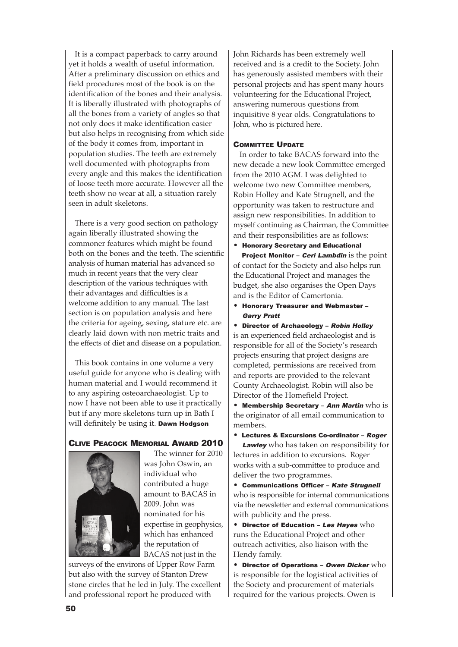It is a compact paperback to carry around yet it holds a wealth of useful information. After a preliminary discussion on ethics and field procedures most of the book is on the identification of the bones and their analysis. It is liberally illustrated with photographs of all the bones from a variety of angles so that not only does it make identification easier but also helps in recognising from which side of the body it comes from, important in population studies. The teeth are extremely well documented with photographs from every angle and this makes the identification of loose teeth more accurate. However all the teeth show no wear at all, a situation rarely seen in adult skeletons.

There is a very good section on pathology again liberally illustrated showing the commoner features which might be found both on the bones and the teeth. The scientific analysis of human material has advanced so much in recent years that the very clear description of the various techniques with their advantages and difficulties is a welcome addition to any manual. The last section is on population analysis and here the criteria for ageing, sexing, stature etc. are clearly laid down with non metric traits and the effects of diet and disease on a population.

This book contains in one volume a very useful guide for anyone who is dealing with human material and I would recommend it to any aspiring osteoarchaeologist. Up to now I have not been able to use it practically but if any more skeletons turn up in Bath I will definitely be using it. Dawn Hodgson

#### CLIVE PEACOCK MEMORIAL AWARD 2010



The winner for 2010 was John Oswin, an individual who contributed a huge amount to BACAS in 2009. John was nominated for his expertise in geophysics, which has enhanced the reputation of BACAS not just in the

surveys of the environs of Upper Row Farm but also with the survey of Stanton Drew stone circles that he led in July. The excellent and professional report he produced with

John Richards has been extremely well received and is a credit to the Society. John has generously assisted members with their personal projects and has spent many hours volunteering for the Educational Project, answering numerous questions from inquisitive 8 year olds. Congratulations to John, who is pictured here.

#### COMMITTEE UPDATE

In order to take BACAS forward into the new decade a new look Committee emerged from the 2010 AGM. I was delighted to welcome two new Committee members, Robin Holley and Kate Strugnell, and the opportunity was taken to restructure and assign new responsibilities. In addition to myself continuing as Chairman, the Committee and their responsibilities are as follows:

• Honorary Secretary and Educational

Project Monitor - Ceri Lambdin is the point of contact for the Society and also helps run the Educational Project and manages the budget, she also organises the Open Days and is the Editor of Camertonia.

• Honorary Treasurer and Webmaster – Garry Pratt

• Director of Archaeology – Robin Holley is an experienced field archaeologist and is responsible for all of the Society's research projects ensuring that project designs are completed, permissions are received from and reports are provided to the relevant County Archaeologist. Robin will also be Director of the Homefield Project.

• Membership Secretary - Ann Martin who is the originator of all email communication to members.

• Lectures & Excursions Co-ordinator – Roger

Lawley who has taken on responsibility for lectures in addition to excursions. Roger works with a sub-committee to produce and deliver the two programmes.

• Communications Officer – Kate Strugnell who is responsible for internal communications via the newsletter and external communications with publicity and the press.

• Director of Education – Les Hayes  $\text{who}$ runs the Educational Project and other outreach activities, also liaison with the Hendy family.

• Director of Operations - Owen Dicker who is responsible for the logistical activities of the Society and procurement of materials required for the various projects. Owen is